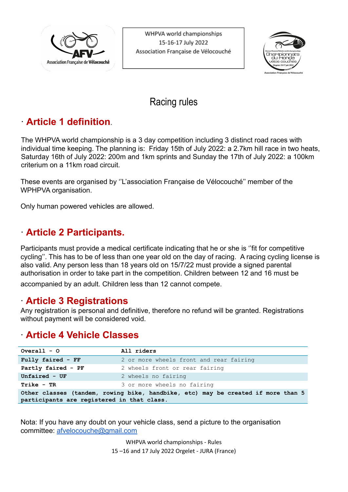

WHPVA world championships 15-16-17 July 2022 Association Française de Vélocouché



# Racing rules

## ∙ **Article 1 definition.**

The WHPVA world championship is a 3 day competition including 3 distinct road races with individual time keeping. The planning is: Friday 15th of July 2022: a 2.7km hill race in two heats, Saturday 16th of July 2022: 200m and 1km sprints and Sunday the 17th of July 2022: a 100km criterium on a 11km road circuit.

These events are organised by ''L'association Française de Vélocouché'' member of the WPHPVA organisation.

Only human powered vehicles are allowed.

# ∙ **Article 2 Participants.**

Participants must provide a medical certificate indicating that he or she is ''fit for competitive cycling''. This has to be of less than one year old on the day of racing. A racing cycling license is also valid. Any person less than 18 years old on 15/7/22 must provide a signed parental authorisation in order to take part in the competition. Children between 12 and 16 must be accompanied by an adult. Children less than 12 cannot compete.

## ∙ **Article 3 Registrations**

Any registration is personal and definitive, therefore no refund will be granted. Registrations without payment will be considered void.

## ∙ **Article 4 Vehicle Classes**

| Overall $-$ O                              | All riders                                                                       |  |  |  |  |  |
|--------------------------------------------|----------------------------------------------------------------------------------|--|--|--|--|--|
| Fully faired - FF                          | 2 or more wheels front and rear fairing                                          |  |  |  |  |  |
| Partly faired - PF                         | 2 wheels front or rear fairing                                                   |  |  |  |  |  |
| Unfaired $-$ UF                            | 2 wheels no fairing                                                              |  |  |  |  |  |
| $Trike - TR$                               | 3 or more wheels no fairing                                                      |  |  |  |  |  |
| participants are registered in that class. | Other classes (tandem, rowing bike, handbike, etc) may be created if more than 5 |  |  |  |  |  |

Nota: If you have any doubt on your vehicle class, send a picture to the organisation committee: [afvelocouche@gmail.com](mailto:afvelocouche@gmail.com)

> WHPVA world championships - Rules 15 –16 and 17 July 2022 Orgelet - JURA (France)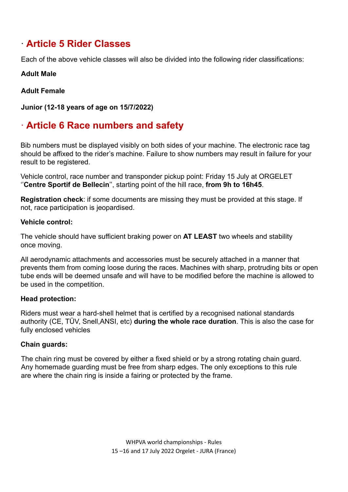# ∙ **Article 5 Rider Classes**

Each of the above vehicle classes will also be divided into the following rider classifications:

#### **Adult Male**

### **Adult Female**

**Junior (12-18 years of age on 15/7/2022)**

# ∙ **Article 6 Race numbers and safety**

Bib numbers must be displayed visibly on both sides of your machine. The electronic race tag should be affixed to the rider's machine. Failure to show numbers may result in failure for your result to be registered.

Vehicle control, race number and transponder pickup point: Friday 15 July at ORGELET ''**Centre Sportif de Bellecin**'', starting point of the hill race, **from 9h to 16h45**.

**Registration check**: if some documents are missing they must be provided at this stage. If not, race participation is jeopardised.

#### **Vehicle control:**

The vehicle should have sufficient braking power on **AT LEAST** two wheels and stability once moving.

All aerodynamic attachments and accessories must be securely attached in a manner that prevents them from coming loose during the races. Machines with sharp, protruding bits or open tube ends will be deemed unsafe and will have to be modified before the machine is allowed to be used in the competition.

### **Head protection:**

Riders must wear a hard-shell helmet that is certified by a recognised national standards authority (CE, TÜV, Snell,ANSI, etc) **during the whole race duration**. This is also the case for fully enclosed vehicles

### **Chain guards:**

The chain ring must be covered by either a fixed shield or by a strong rotating chain guard. Any homemade guarding must be free from sharp edges. The only exceptions to this rule are where the chain ring is inside a fairing or protected by the frame.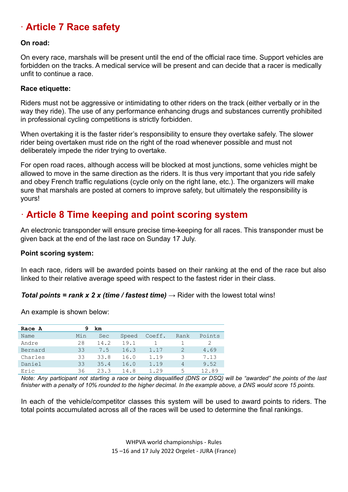# ∙ **Article 7 Race safety**

#### **On road:**

On every race, marshals will be present until the end of the official race time. Support vehicles are forbidden on the tracks. A medical service will be present and can decide that a racer is medically unfit to continue a race.

#### **Race etiquette:**

Riders must not be aggressive or intimidating to other riders on the track (either verbally or in the way they ride). The use of any performance enhancing drugs and substances currently prohibited in professional cycling competitions is strictly forbidden.

When overtaking it is the faster rider's responsibility to ensure they overtake safely. The slower rider being overtaken must ride on the right of the road whenever possible and must not deliberately impede the rider trying to overtake.

For open road races, although access will be blocked at most junctions, some vehicles might be allowed to move in the same direction as the riders. It is thus very important that you ride safely and obey French traffic regulations (cycle only on the right lane, etc.). The organizers will make sure that marshals are posted at corners to improve safety, but ultimately the responsibility is yours!

## ∙ **Article 8 Time keeping and point scoring system**

An electronic transponder will ensure precise time-keeping for all races. This transponder must be given back at the end of the last race on Sunday 17 July.

#### **Point scoring system:**

In each race, riders will be awarded points based on their ranking at the end of the race but also linked to their relative average speed with respect to the fastest rider in their class.

#### *Total points = rank x 2 x (time / fastest time)*  $\rightarrow$  Rider with the lowest total wins!

An example is shown below:

| Race A  | 9   | km         |       |        |               |        |
|---------|-----|------------|-------|--------|---------------|--------|
| Name    | Min | <b>Sec</b> | Speed | Coeff. | Rank          | Points |
| Andre   | 28  | 14.2       | 19.1  |        |               |        |
| Bernard | 33  | 7.5        | 16.3  | 1.17   | $\mathcal{D}$ | 4.69   |
| Charles | 33  | 33.8       | 16.0  | 1.19   | 3             | 7.13   |
| Daniel  | 33  | 35.4       | 16.0  | 1.19   | 4             | 9.52   |
| Eric    | 36  | 23.3       | 14.8  | 1.29   | 5             | 12.89  |

Note: Any participant not starting a race or being disqualified (DNS or DSQ) will be "awarded" the points of the last finisher with a penalty of 10% rounded to the higher decimal. In the example above, a DNS would score 15 points.

In each of the vehicle/competitor classes this system will be used to award points to riders. The total points accumulated across all of the races will be used to determine the final rankings.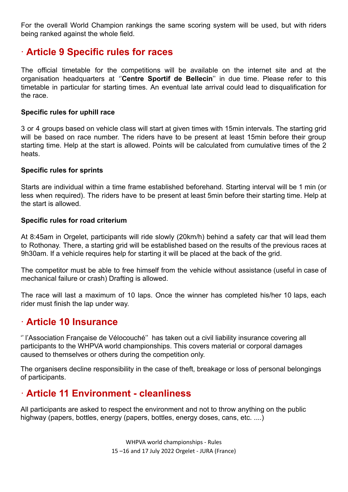For the overall World Champion rankings the same scoring system will be used, but with riders being ranked against the whole field.

### ∙ **Article 9 Specific rules for races**

The official timetable for the competitions will be available on the internet site and at the organisation headquarters at ''**Centre Sportif de Bellecin**'' in due time. Please refer to this timetable in particular for starting times. An eventual late arrival could lead to disqualification for the race.

#### **Specific rules for uphill race**

3 or 4 groups based on vehicle class will start at given times with 15min intervals. The starting grid will be based on race number. The riders have to be present at least 15min before their group starting time. Help at the start is allowed. Points will be calculated from cumulative times of the 2 heats.

#### **Specific rules for sprints**

Starts are individual within a time frame established beforehand. Starting interval will be 1 min (or less when required). The riders have to be present at least 5min before their starting time. Help at the start is allowed.

#### **Specific rules for road criterium**

At 8:45am in Orgelet, participants will ride slowly (20km/h) behind a safety car that will lead them to Rothonay. There, a starting grid will be established based on the results of the previous races at 9h30am. If a vehicle requires help for starting it will be placed at the back of the grid.

The competitor must be able to free himself from the vehicle without assistance (useful in case of mechanical failure or crash) Drafting is allowed.

The race will last a maximum of 10 laps. Once the winner has completed his/her 10 laps, each rider must finish the lap under way.

### ∙ **Article 10 Insurance**

'' l'Association Française de Vélocouché'' has taken out a civil liability insurance covering all participants to the WHPVA world championships. This covers material or corporal damages caused to themselves or others during the competition only.

The organisers decline responsibility in the case of theft, breakage or loss of personal belongings of participants.

### ∙ **Article 11 Environment - cleanliness**

All participants are asked to respect the environment and not to throw anything on the public highway (papers, bottles, energy (papers, bottles, energy doses, cans, etc. ....)

> WHPVA world championships - Rules 15 –16 and 17 July 2022 Orgelet - JURA (France)